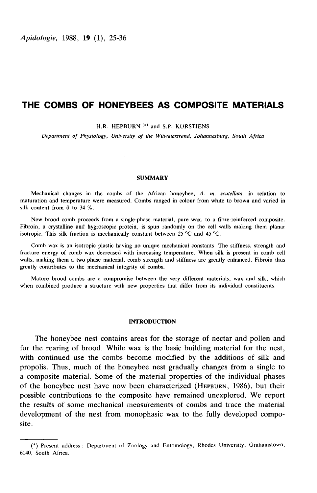Apidologie, 1988, 19 (1), 25-36

# THE COMBS OF HONEYBEES AS COMPOSITE MATERIALS

H.R. HEPBURN<sup>(\*)</sup> and S.P. KURSTJENS

Department of Physiology, University of the Witwatersrand, Johannesburg, South Africa

### SUMMARY

Mechanical changes in the combs of the African honeybee, A. m. scutellata, in relation to maturation and temperature were measured. Combs ranged in colour from white to brown and varied in silk content from 0 to 34 %.

New brood comb proceeds from a single-phase material, pure wax, to a fibre-reinforced composite. Fibroin, a crystalline and hygroscopic protein, is spun randomly on the cell walls making them planar isotropic. This silk fraction is mechanically constant between 25 °C and 45 °C.

Comb wax is an isotropic plastic having no unique mechanical constants. The stiffness, strength and fracture energy of comb wax decreased with increasing temperature. When silk is present in comb cell walls, making them a two-phase material, comb strength and stiffness are greatly enhanced. Fibroin thus greatly contributes to the mechanical integrity of combs.

Mature brood combs are a compromise between the very different materials, wax and silk, which when combined produce a structure with new properties that differ from its individual constituents.

### INTRODUCTION

The honeybee nest contains areas for the storage of nectar and pollen and for the rearing of brood. While wax is the basic building material for the nest, with continued use the combs become modified by the additions of silk and propolis. Thus, much of the honeybee nest gradually changes from a single to a composite material. Some of the material properties of the individual phases for the rearing of brood. While wax is the basic building material for the nest, with continued use the combs become modified by the additions of silk and propolis. Thus, much of the honeybee nest gradually changes from a possible contributions to the composite have remained unexplored. We report the results of some mechanical measurements of combs and trace the material development of the nest from monophasic wax to the fully developed composite.

<sup>(\*)</sup> Present address : Department of Zoology and Entomology, Rhodes University, Grahamstown, 6140, South Africa.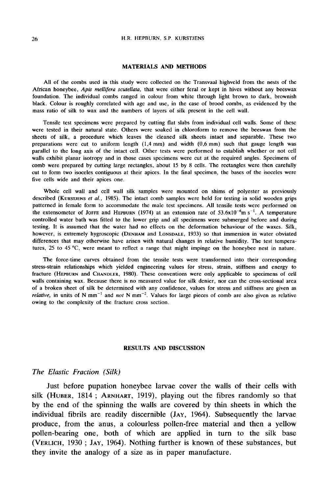### MATERIALS AND METHODS

All of the combs used in this study were collected on the Transvaal highveld from the nests of the African honeybee, Apis mellifera scutellata, that were either feral or kept in hives without any beeswax foundation. The individual combs ranged in colour from white through light brown to dark, brownish black. Colour is roughly correlated with age and use, in the case of brood combs, as evidenced by the mass ratio of silk to wax and the numbers of layers of silk present in the cell wall.

Tensile test specimens were prepared by cutting flat slabs from individual cell walls. Some of these were tested in their natural state. Others were soaked in chloroform to remove the beeswax from the sheets of silk, a procedure which leaves the cleaned silk sheets intact and separable. These two preparations were cut to uniform length (1,4 mm) and width (0,6 mm) such that gauge length was parallel to the long axis of the intact cell. Other tests were performed to establish whether or not cell walls exhibit planar isotropy and in those cases specimens were cut at the required angles. Specimens of comb were prepared by cutting large rectangles, about 15 by 8 cells. The rectangles were then carefully cut to form two isoceles contiguous at their apices. In the final specimen, the bases of the isoceles were five cells wide and their apices one.

Whole cell wall and cell wall silk samples were mounted on shims of polyester as previously It we cells wide and their apices one.<br>Whole cell wall and cell wall silk samples were mounted on shims of polyester as previously<br>described (KURSTJENS *et al.*, 1985). The intact comb samples were held for testing in soli patterned in female form to accommodate the male test specimens. All tensile tests were performed on the extensometer of Jorge and HEPBURN (1974) at an extension rate of  $53.6 \times 10^{-6}$ m s<sup>-1</sup>. A temperature tive cells wide and their apices one.<br>
Whole cell wall and cell wall silk samples were mounted on shims of polyester as previously<br>
described (KURSTJENS *et al.*, 1985). The intact comb samples were held for testing in so testing. It is assumed that the water had no effects on the deformation behaviour of the waxes. Silk, patterned in female form to accommodate the male test specimens. All tensile tests were performed on<br>the extensometer of JoFFE and HEPBURN (1974) at an extension rate of 53.6x10<sup>-6</sup>m s<sup>-1</sup>. A temperature<br>controlled water b differences that may otherwise have arisen with natural changes in relative humidity. The test temperatures, 25 to 45 °C, were meant to reflect a range that might impinge on the honeybee nest in nature.

The force-time curves obtained from the tensile tests were transformed into their corresponding stress-strain relationships which yielded engineering values for stress, strain, stiffness and energy to fracture (HEPBURN and CHANDLER, 1980). These conventions were only applicable to specimens of cell walls containing wax. Because there is no measured value for silk denier, nor can the cross-sectional area of a broken sheet of silk be determined with any confidence, values for stress and stiffness are given as *relative*, in units of N mm<sup>-1</sup> and not N mm<sup>-2</sup>. Values for large pieces of comb are also given as relative owing to the complexity of the fracture cross section.

# RESULTS AND DISCUSSION

# The Elastic Fraction (Silk)

Just before pupation honeybee larvae cover the walls of their cells with Silk (Huber, 1814; ARNHART, 1919), playing out the walls of their cells with<br>silk (HUBER, 1814; ARNHART, 1919), playing out the fibres randomly so that<br>by the end of the spinning the walls are covered by thin sheets in whi by the end of the spinning the walls are covered by thin sheets in which the individual fibrils are readily discernible (JAY, 1964). Subsequently the larvae produce, from the anus, a colourless pollen-free material and then a yellow pollen-bearing one, both of which are applied in turn to the silk base (VERLICH, 1930; JAY, 1964). Nothing further is known of these substances, but  $individual$  fibrils are readily discernible  $(JAY, 1964)$ . Subsequently the larvae they invite the analogy of a size as in paper manufacture.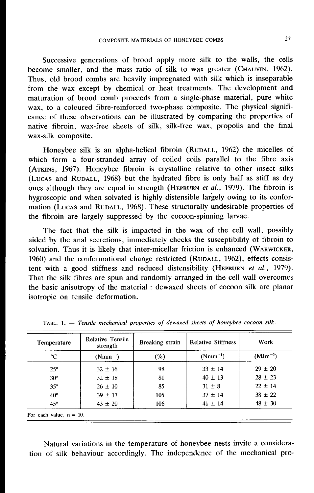Successive generations of brood apply more silk to the walls, the cells become smaller, and the mass ratio of silk to wax greater (CHAUVIN, 1962). COMPOSITE MATERIALS OF HONEYBEE COMBS<br>
27<br>
Successive generations of brood apply more silk to the walls, the cells<br>
become smaller, and the mass ratio of silk to wax greater (CHAUVIN, 1962).<br>
Thus, old brood combs are heav from the wax except by chemical or heat treatments. The development and maturation of brood comb proceeds from a single-phase material, pure white wax, to a coloured fibre-reinforced two-phase composite. The physical significance of these observations can be illustrated by comparing the properties of native fibroin, wax-free sheets of silk, silk-free wax, propolis and the final wax-silk composite. extranded the se observations can be illustrated by comparing the properties of native fibroin, wax-free sheets of silk, silk-free wax, propolis and the final wax-silk composite.<br>Honeybee silk is an alpha-helical fibroin (

Max-sinc composite.<br>
Honeybee silk is an alpha-helical fibroin (RUDALL, 1962) the micelles of<br>
which form a four-stranded array of coiled coils parallel to the fibre axis<br>
(ATKINS, 1967). Honeybee fibroin is crystalline re Honeybee silk is an alpha-helical fibroin (RUDALL, 1962) the micelles of which form a four-stranded array of coiled coils parallel to the fibre axis (ATKINS, 1967). Honeybee fibroin is crystalline relative to other insect hygroscopic and when solvated is highly distensible largely owing to its confor-(LUCAS and RUDALL, 1968) but the hydrated fibre is only half as stiff as dry<br>ones although they are equal in strength (HEPBURN *et al.*, 1979). The fibroin is<br>hygroscopic and when solvated is highly distensible largely owi the fibroin are largely suppressed by the cocoon-spinning larvae.

The fact that the silk is impacted in the wax of the cell wall, possibly aided by the anal secretions, immediately checks the susceptibility of fibroin to solvation. Thus it is likely that inter-micellar friction is enhanced 1960) and the conformational change restricted (RUDALL, 1962), effects consisto its confor-<br>properties of<br>wall, possibly<br>of fibroin to<br>(WARWICKER,<br>effects consistent with a good stiffness and reduced distensibility (HEPBURN et al., 1979). That the silk fibres are spun and randomly arranged in the cell wall overcomes the basic anisotropy of the material : dewaxed sheets of cocoon silk are planar isotropic on tensile deformation.

| Temperature  | Relative Tensile<br>strength | Breaking strain | <b>Relative Stiffness</b> | Work         |  |
|--------------|------------------------------|-----------------|---------------------------|--------------|--|
| °C           | $(Nmm^{-1})$                 | (%)             | $(Nmm^{-1})$              | $(MJm^{-3})$ |  |
| $25^\circ$   | $32 \pm 16$                  | 98              | $33 \pm 14$               | $29 \pm 20$  |  |
| $30^{\circ}$ | $32 \pm 18$                  | 81              | $40 \pm 13$               | $28 \pm 23$  |  |
| $35^\circ$   | $26 \pm 10$                  | 85              | $31 \pm 8$                | $22 \pm 14$  |  |
| $40^{\circ}$ | $39 \pm 17$                  | 105             | $37 \pm 14$               | $38 \pm 22$  |  |
| $45^\circ$   | $43 \pm 20$                  | 106             | $41 \pm 14$               | $48 \pm 30$  |  |

TABL. 1. - Tensile mechanical properties of dewaxed sheets of honeybee cocoon silk.

Natural variations in the temperature of honeybee nests invite a consideration of silk behaviour accordingly. The independence of the mechanical pro-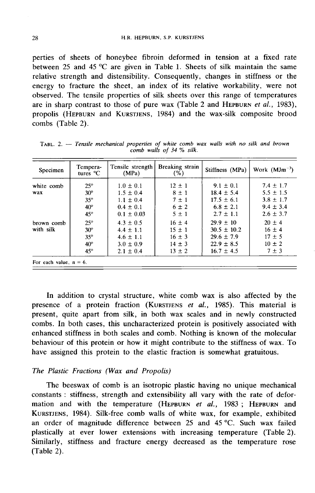perties of sheets of honeybee fibroin deformed in tension at a fixed rate between 25 and 45  $^{\circ}$ C are given in Table 1. Sheets of silk maintain the same relative strength and distensibility. Consequently, changes in stiffness or the energy to fracture the sheet, an index of its relative workability, were not observed. The tensile properties of silk sheets over this range of temperatures are in sharp contrast to those of pure wax (Table 2 and HEPBURN *et al.*, 1983), perties of sneets of noneybee fibroin deformed in tension at a fixed rate<br>between 25 and 45 °C are given in Table 1. Sheets of silk maintain the same<br>relative strength and distensibility. Consequently, changes in stiffnes relative strength and distensibility. Consequently, changes in stiffness or the energy to fracture the sheet, an index of its relative workability, were not observed. The tensile properties of silk sheets over this range o combs (Table 2).

| Specimen   | Tempera-<br>tures $\mathrm{C}$ | Tensile strength<br>(MPa) | Breaking strain<br>(% ) | Stiffness (MPa) | Work $(MJm^{-3})$ |
|------------|--------------------------------|---------------------------|-------------------------|-----------------|-------------------|
| white comb | $25^\circ$                     | $1.0 \pm 0.1$             | $12 \pm 1$              | $9.1 \pm 0.1$   | $7.4 \pm 1.7$     |
| wax        | $30^\circ$                     | $1.5 \pm 0.4$             | $8 \pm 1$               | $18.4 \pm 5.4$  | $5.5 \pm 1.5$     |
|            | $35^\circ$                     | $1.1 \pm 0.4$             | $7 \pm 1$               | $17.5 \pm 6.1$  | $3.8 \pm 1.7$     |
|            | $40^{\circ}$                   | $0.4 \pm 0.1$             | $6 \pm 2$               | $6.8 \pm 2.1$   | $9.4 \pm 3.4$     |
|            | $45^\circ$                     | $0.1 \pm 0.03$            | $5 \pm 1$               | $2.7 \pm 1.1$   | $2.6 \pm 3.7$     |
| brown comb | $25^\circ$                     | $4.3 \pm 0.5$             | $16 \pm 4$              | $29.9 \pm 10$   | $20 \pm 4$        |
| with silk  | $30^\circ$                     | $4.4 \pm 1.1$             | $15 \pm 1$              | $30.5 \pm 10.2$ | $16 \pm 4$        |
|            | $35^\circ$                     | $4.6 \pm 1.1$             | $16 \pm 3$              | $29.6 \pm 7.9$  | $17 \pm 5$        |
|            | $40^{\circ}$                   | $3.0 \pm 0.9$             | $14 \pm 3$              | $22.9 \pm 8.5$  | $10 \pm 2$        |
|            | $45^\circ$                     | $2.1 \pm 0.4$             | $13 \pm 2$              | $16.7 \pm 4.5$  | $7 \pm 3$         |

TABL. 2.  $-$  Tensile mechanical properties of white comb wax walls with no silk and brown comb walls of 34 % silk.

In addition to crystal structure, white comb wax is also affected by the presence of a protein fraction (KURSTJENS et al., 1985). This material is present, quite apart from silk, in both wax scales and in newly constructed combs. In both cases, this uncharacterized protein is positively associated with enhanced stiffness in both scales and comb. Nothing is known of the molecular behaviour of this protein or how it might contribute to the stiffness of wax. To have assigned this protein to the elastic fraction is somewhat gratuitous.

# The Plastic Fractions (Wax and Propolis)

The beeswax of comb is an isotropic plastic having no unique mechanical constants : stiffness, strength and extensibility all vary with the rate of defor-The Plastic Fractions (Wax and Propolis)<br>
The beeswax of comb is an isotropic plastic having no unique mechanical<br>
constants: stiffness, strength and extensibility all vary with the rate of defor-<br>
mation and with the temp an order of magnitude difference between 25 and 45 °C. Such wax failed plastically at ever lower extensions with increasing temperature (Table 2). Similarly, stiffness and fracture energy decreased as the temperature rose (Table 2).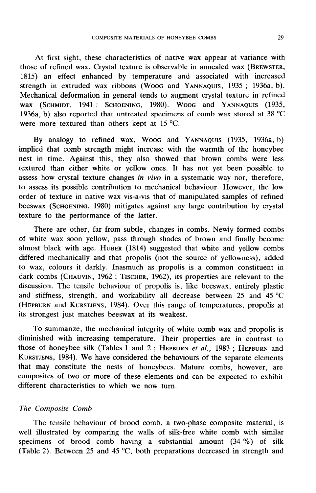At first sight, these characteristics of native wax appear at variance with those of refined wax. Crystal texture is observable in annealed wax COMPOSITE MATERIALS OF HONEYBEE COMBS<br>
29<br>
At first sight, these characteristics of native wax appear at variance with<br>
those of refined wax. Crystal texture is observable in annealed wax (BREWSTER,<br>
1815) an effect enhanc STREMATERIALS OF HONETBEE COMBS<br>At first sight, these characteristics of native wax appear at variance with<br>those of refined wax. Crystal texture is observable in annealed wax (BREWSTER,<br>1815) an effect enhanced by tempera Mechanical deformation in general tends to augment crystal texture in refined The motologies, these emilated sides of matrix was appear at variance with<br>those of refined wax. Crystal texture is observable in annealed wax (BREWSTER,<br>1815) an effect enhanced by temperature and associated with increase 1936a, b) also reported that untreated specimens of comb wax stored at 38 °C were more textured than others kept at 15 °C. wax (SCHMIDT, 1941: SCHOENING, 1980). Woog and YANNAQUIS (1935, 1936a, b) also reported that untreated specimens of comb wax stored at 38 °C<br>were more textured than others kept at 15 °C.<br>By analogy to refined wax, Woog and

implied that comb strength might increase with the warmth of the honeybee nest in time. Against this, they also showed that brown combs were less textured than either white or yellow ones. It has not yet been possible to assess how crystal texture changes in vivo in a systematic way nor, therefore, to assess its possible contribution to mechanical behaviour. However, the low order of texture in native wax vis-a-vis that of manipulated samples of refined<br>beeswax (SCHOENING, 1980) mitigates against any large contribution by crystal nest in time. Against this, they also showed that brown combs were less<br>textured than either white or yellow ones. It has not yet been possible to<br>assess how crystal texture changes in vivo in a systematic way nor, therefo texture to the performance of the latter.

There are other, far from subtle, changes in combs. Newly formed combs of white wax soon yellow, pass through shades of brown and finally become There are other, far from subtle, changes in combs. Newly formed combs<br>of white wax soon yellow, pass through shades of brown and finally become<br>almost black with age. HUBER (1814) suggested that white and yellow combs<br>dif differed mechanically and that propolis (not the source of yellowness), added to wax, colours it darkly. Inasmuch as propolis is a common constituent in dark combs (CHAUVIN, 1962; TISCHER, 1962), its properties are relevant to the almost black with age. HUBER (1814) suggested that white and yellow combs discussion. The tensile behaviour of propolis is, like beeswax, entirely plastic and stiffness, strength, and workability all decrease between 25 and 45 °C (HEPBURN and KURSTJENS, 1984). Over this range of temperatures, propolis at its strongest just matches beeswax at its weakest.

To summarize, the mechanical integrity of white comb wax and propolis is diminished with increasing temperature. Their properties are in contrast to those of honeybee silk (Tables 1 and 2; HEPBURN et al., 1983; HEPBURN and its stronges<br>To sur<br>diminished<br>those of he<br>Kurstjens,<br>that may URN and KURSTJENS, 1984). Over this range of temperatures, propolis at ongest just matches beeswax at its weakest.<br>
2 summarize, the mechanical integrity of white comb wax and propolis is shed with increasing temperature. Its strongest just matches beeswax at its weakest.<br>
To summarize, the mechanical integrity of white comb wax and propolis is<br>
diminished with increasing temperature. Their properties are in contrast to<br>
those of honeybee s that may constitute the nests of honeybees. Mature combs, however, are composites of two or more of these elements and can be expected to exhibit different characteristics to which we now turn.

# The Composite Comb

The tensile behaviour of brood comb, a two-phase composite material, is well illustrated by comparing the walls of silk-free white comb with similar specimens of brood comb having a substantial amount (34 %) of silk (Table 2). Between 25 and 45 °C, both preparations decreased in strength and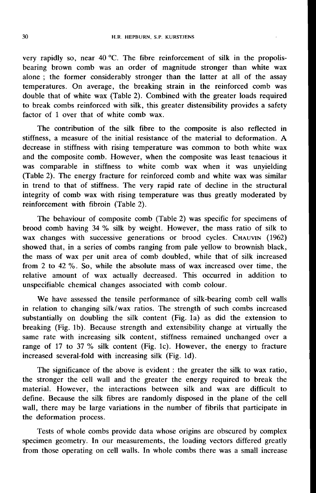very rapidly so, near 40 °C. The fibre reinforcement of silk in the propolisbearing brown comb was an order of magnitude stronger than white wax alone ; the former considerably stronger than the latter at all of the assay temperatures. On average, the breaking strain in the reinforced comb was double that of white wax (Table 2). Combined with the greater loads required to break combs reinforced with silk, this greater distensibility provides a safety factor of 1 over that of white comb wax.

The contribution of the silk fibre to the composite is also reflected in stiffness, a measure of the initial resistance of the material to deformation. A decrease in stiffness with rising temperature was common to both white wax and the composite comb. However, when the composite was least tenacious it was comparable in stiffness to white comb wax when it was unyielding (Table 2). The energy fracture for reinforced comb and white wax was similar in trend to that of stiffness. The very rapid rate of decline in the structural integrity of comb wax with rising temperature was thus greatly moderated by reinforcement with fibroin (Table 2).

The behaviour of composite comb (Table 2) was specific for specimens of brood comb having 34 % silk by weight. However, the mass ratio of silk to reinforcement with fibroin (Table 2).<br>The behaviour of composite comb (Table 2) was specific for specimens of<br>brood comb having 34 % silk by weight. However, the mass ratio of silk to<br>wax changes with successive generation showed that, in a series of combs ranging from pale yellow to brownish black, the mass of wax per unit area of comb doubled, while that of silk increased from 2 to 42 %. So, while the absolute mass of wax increased over time, the relative amount of wax actually decreased. This occurred in addition to unspecifiable chemical changes associated with comb colour.

We have assessed the tensile performance of silk-bearing comb cell walls in relation to changing silk/wax ratios. The strength of such combs increased substantially on doubling the silk content (Fig. 1a) as did the extension to breaking (Fig. lb). Because strength and extensibility change at virtually the same rate with increasing silk content, stiffness remained unchanged over a range of 17 to 37 % silk content (Fig. lc). However, the energy to fracture increased several-fold with increasing silk (Fig. ld).

The significance of the above is evident : the greater the silk to wax ratio, the stronger the cell wall and the greater the energy required to break the material. However, the interactions between silk and wax are difficult to define. Because the silk fibres are randomly disposed in the plane of the cell wall, there may be large variations in the number of fibrils that participate in the deformation process.

Tests of whole combs provide data whose origins are obscured by complex specimen geometry. In our measurements, the loading vectors differed greatly from those operating on cell walls. In whole combs there was a small increase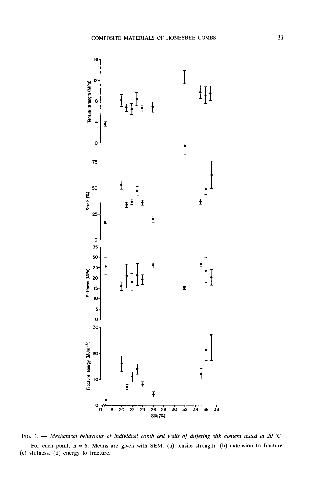

Fig. 1. --- Mechanical behaviour of individual comb cell walls of differing silk content tested at 20 °C. For each point,  $n = 6$ . Means are given with SEM. (a) tensile strength. (b) extension to fracture. (c) stiffness. (d) energy to fracture.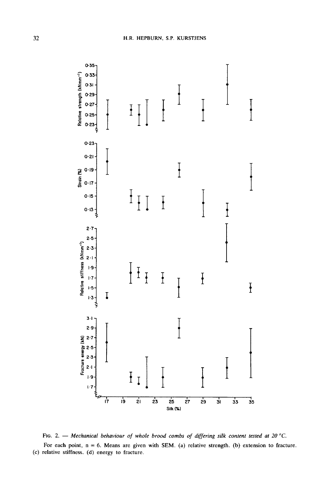

FIG. 2. - Mechanical behaviour of whole brood combs of differing silk content tested at 20 °C. For each point,  $n = 6$ . Means are given with SEM. (a) relative strength. (b) extension to fracture. (c) relative stiffness. (d) energy to fracture.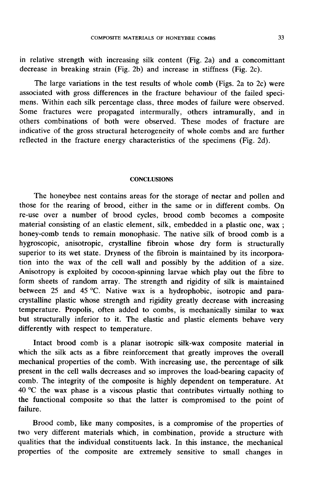in relative strength with increasing silk content (Fig. 2a) and a concomittant decrease in breaking strain (Fig. 2b) and increase in stiffness (Fig. 2c).

The large variations in the test results of whole comb (Figs. 2a to 2c) were associated with gross differences in the fracture behaviour of the failed speci mens. Within each silk percentage class, three modes of failure were observed. Some fractures were propagated intermurally, others intramurally, and in others combinations of both were observed. These modes of fracture are indicative of the gross structural heterogeneity of whole combs and are further reflected in the fracture energy characteristics of the specimens (Fig. 2d).

### **CONCLUSIONS**

The honeybee nest contains areas for the storage of nectar and pollen and those for the rearing of brood, either in the same or in different combs. On re-use over a number of brood cycles, brood comb becomes a composite material consisting of an elastic element, silk, embedded in a plastic one, wax ; honey-comb tends to remain monophasic. The native silk of brood comb is a hygroscopic, anisotropic, crystalline fibroin whose dry form is structurally superior to its wet state. Dryness of the fibroin is maintained by its incorporation into the wax of the cell wall and possibly by the addition of a size. Anisotropy is exploited by cocoon-spinning larvae which play out the fibre to form sheets of random array. The strength and rigidity of silk is maintained between 25 and 45 °C. Native wax is a hydrophobic, isotropic and paracrystalline plastic whose strength and rigidity greatly decrease with increasing temperature. Propolis, often added to combs, is mechanically similar to wax but structurally inferior to it. The elastic and plastic elements behave very differently with respect to temperature.

Intact brood comb is a planar isotropic silk-wax composite material in which the silk acts as a fibre reinforcement that greatly improves the overall mechanical properties of the comb. With increasing use, the percentage of silk present in the cell walls decreases and so improves the load-bearing capacity of comb. The integrity of the composite is highly dependent on temperature. At 40 °C the wax phase is a viscous plastic that contributes virtually nothing to the functional composite so that the latter is compromised to the point of failure.

Brood comb, like many composites, is a compromise of the properties of two very different materials which, in combination, provide a structure with qualities that the individual constituents lack. In this instance, the mechanical properties of the composite are extremely sensitive to small changes in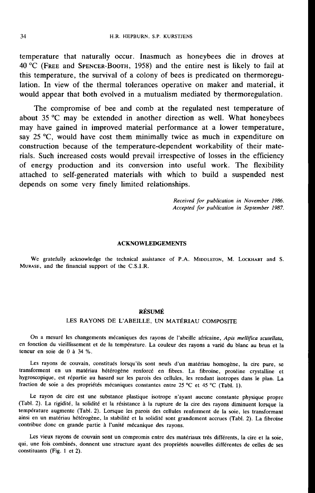temperature that naturally occur. Inasmuch as honeybees die in droves at 40 °C (FREE and SPENCER-BOOTH, 1958) and the entire nest is likely to fail at this temperature, the survival of a colony of bees is predicated on thermoregulation. In view of the thermal tolerances operative on maker and material, it would appear that both evolved in a mutualism mediated by thermoregulation.

The compromise of bee and comb at the regulated nest temperature of about 35 °C may be extended in another direction as well. What honeybees may have gained in improved material performance at a lower temperature, say  $25 \degree C$ , would have cost them minimally twice as much in expenditure on construction because of the temperature-dependent workability of their materials. Such increased costs would prevail irrespective of losses in the efficiency of energy production and its conversion into useful work. The flexibility attached to self-generated materials with which to build a suspended nest depends on some very finely limited relationships.

> Received for publication in November 1986. Accepted for publication in September 1987.

### ACKNOWLEDGEMENTS

We gratefully acknowledge the technical assistance of P.A. MIDDLETON, M. LOCKHART and S. MURASE, and the financial support of the C.S.I.R.

# RÉSUMÉ

# LES RAYONS DE L'ABEILLE, UN MATÉRIAU COMPOSITE

On a mesuré les changements mécaniques des rayons de l'abeille africaine, Apis mellifica scutellata, en fonction du vieillissement et de la température. La couleur des rayons a varié du blanc au brun et la teneur en soie de 0 à 34 %.

Les rayons de couvain, constitués lorsqu'ils sont neufs d'un matériau homogène, la cire pure, se transforment en un matériau hétérogène renforcé en fibres. La fibroïne, protéine crystalline et hygroscopique, est répartie au hasard sur les parois des cellules, les rendant isotropes dans le plan. La fraction de soie a des propriétés mécaniques constantes entre 25 °C et 45 °C (Tabl. 1).

Le rayon de cire est une substance plastique isotrope n'ayant aucune constante physique propre (Tabl. 2). La rigidité, la solidité et la résistance à la rupture de la cire des rayons diminuent lorsque la température augmente (Tabl. 2). Lorsque les parois des cellules renferment de la soie, les transformant ainsi en un matériau hétérogène, la stabilité et la solidité sont grandement accrues (Tabl. 2). La fibroïne contribue donc en grande partie à l'unité mécanique des rayons.

Les vieux rayons de couvain sont un compromis entre des matériaux très différents, la cire et la soie, qui, une fois combinés, donnent une structure ayant des propriétés nouvelles différentes de celles de ses constituants (Fig. 1 et 2).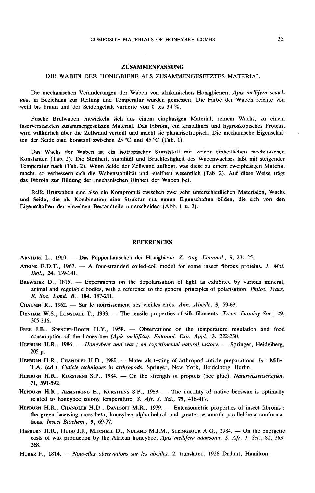#### DIE WABEN DER HONIGBIENE ALS ZUSAMMENGESETZTES MATERIAL

Die mechanischen Veränderungen der Waben von afrikanischen Honigbienen, Apis mellifera scutellata, in Beziehung zur Reifung und Temperatur wurden gemessen. Die Farbe der Waben reichte von weiß bis braun und der Seidengehalt variierte von 0 bis 34 %.

Frische Brutwaben entwickeln sich aus einem einphasigen Material, reinem Wachs, zu einem faserverstärkten zusammengesetzten Material. Das Fibroin, ein kristallines und hygroskopisches Protein, wird willkürlich über die Zellwand verteilt und macht sie planarisotropisch. Die mechanische Eigenschaf ten der Seide sind konstant zwischen 25 °C und 45 °C (Tab. 1).

Das Wachs der Waben ist ein isotropischer Kunststoff mit keiner einheitlichen mechanischen Konstanten (Tab. 2). Die Steifheit, Stabilität und Bruchfestigkeit des Wabenwachses läßt mit steigender Temperatur nach (Tab. 2). Wenn Seide der Zellwand aufliegt, was diese zu einem zweiphasigen Material macht, so verbessern sich die Wabenstabilität und -steifheit wesentlich (Tab. 2). Auf diese Weise trägt das Fibroin zur Bildung der mechanischen Einheit der Waben bei.

Reife Brutwaben sind also ein Kompromiß zwischen zwei sehr unterschiedlichen Materialen, Wachs und Seide, die als Kombination eine Struktur mit neuen Eigenschaften bilden, die sich von den Eigenschaften der einzelnen Bestandteile unterscheiden (Abb. 1 u. 2).

#### REFERENCES

ARNHART L., 1919. - Das Puppenhäuschen der Honigbiene. Z. Ang. Entomol., 5, 231-251.

- ARNHART L., 1919. Das Puppenhäuschen der Honigbiene. Z. Ang. Entomol., 5, 231-251.<br>ATKINS E.D.T., 1967. -- A four-stranded coiled-coil model for some insect fibrous proteins. J. Mol. Biol., 24, 139-141.
- SURIMART D., 1919. Das Puppenhäuschen der Honigbiene. Z. Ang. Entomol., 5, 231-251.<br>ATKINS E.D.T., 1967. -- A four-stranded coiled-coil model for some insect fibrous proteins. J. Mol.<br>BREWSTER D., 1815. -- Experiments on R. Soc. Lond. B., 104, 187-211. BREWSTER D., 1815. -- Experiments on the depolarisation of light as exhibited by various mineral, animal and vegetable bodies, with a reference to the general principles of polarisation. *Philos. Trans.* R. Soc. Lond. B.,
- 
- DENHAM W.S., LONSDALE T., 1933. The tensile properties of silk filaments. Trans. Faraday Soc., 29, 305-316.
- FREE J.B., SPENCER-BOOTH H.Y., 1958. Observations on the temperature regulation and food consumption of the honey-bee (Apis mellifica). Entomol. Exp. Appl., 3, 222-230.
- 305-316.<br>FREE J.B., SPENCER-BOOTH H.Y., 1958. Observations on the temperature regulation and food<br>consumption of the honey-bee (Apis mellifica). Entomol. Exp. Appl., 3, 222-230.<br>HEPBURN H.R., 1986. Honeybees and wax ; consumption of the honey-bee (Apis mellifica). Entomol. Exp. Appl., 3, 222-230.<br>
HEPBURN H.R., 1986. — Honeybees and wax; an experimental natural history. — Springer, Heidelberg,<br>
205 p.<br>
HEPBURN H.R., CHANDLER H.D., 1980.
- T.A. (ed.), Cuticle techniques in arthropods. Springer, New York, Heidelberg, Berlin. 205 p.<br>HEPBURN H.R., CHANDLER H.D., 1980. - Materials testing of arthropod cuticle preparations. *In*: Miller T.A. (ed.), *Cuticle techniques in arthropods*. Springer, New York, Heidelberg, Berlin.<br>HEPBURN H.R., KURSTJENS
- 71, 591-592.
- HEPBURN H.R., CHANDLER H.D., 1980. Materials testing of arthropod cuticle preparations. In: Miller T.A. (ed.), Cuticle techniques in arthropods. Springer, New York, Heidelberg, Berlin.<br>HEPBURN H.R., KURSTJENS S.P., 1984. **T1, 591-592.**<br>
HEPBURN H.R., ARMSTRONG E., KURSTJENS S.P., 1983. — The ductility of native beeswax is optimally<br>
related to honeybee colony temperature. S. Afr. J. Sci., 79, 416-417.<br>
HEPBURN H.R., CHANDLER H.D., DAVIDOF
- the green lacewing cross-beta, honeybee alpha-helical and greater waxmoth parallel-beta conformations. Insect Biochem., 9, 69-77. related to honeybee colony temperature. S. Afr. J. Sci., 79, 416-417.<br>HEPBURN H.R., CHANDLER H.D., DAVIDOFF M.R., 1979. — Extensometric properties of insect fibroins:<br>the green lacewing cross-beta, honeybee alpha-helical a
- 368. costs of wax production by the African honeybee, Apis mellifera adansonii. S. Afr. J. Sci., 80, 363-<br>368.<br>HUBER F., 1814. — Nouvelles observations sur les abeilles. 2. translated. 1926 Dadant, Hamilton.
-